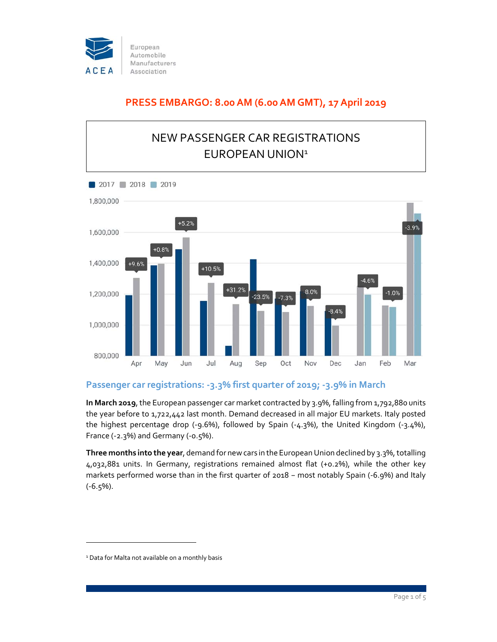

## **PRESS EMBARGO: 8.00 AM (6.00 AM GMT), 17 April 2019**



## **Passenger car registrations: ‐3.3% first quarter of 2019; ‐3.9% in March**

**In March 2019**,the European passenger car market contracted by 3.9%, falling from 1,792,880 units the year before to 1,722,442 last month. Demand decreased in all major EU markets. Italy posted the highest percentage drop (‐9.6%), followed by Spain (‐4.3%), the United Kingdom (‐3.4%), France (‐2.3%) and Germany (‐0.5%).

Three months into the year, demand for new cars in the European Union declined by 3.3%, totalling 4,032,881 units. In Germany, registrations remained almost flat (+0.2%), while the other key markets performed worse than in the first quarter of 2018 − most notably Spain (‐6.9%) and Italy  $(-6.5\%)$ .

<sup>&</sup>lt;sup>1</sup> Data for Malta not available on a monthly basis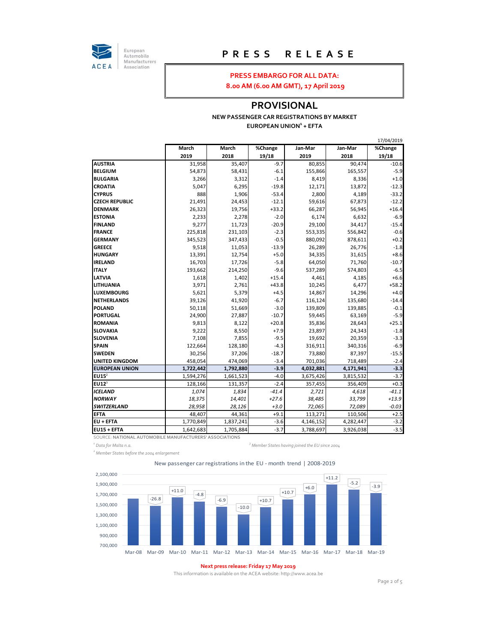

European<br>Automobile Manufacturers Association

## **P R E S S R E L E A S E**

#### **PRESS EMBARGO FOR ALL DATA:**

**8.00 AM (6.00 AM GMT), 17 April 2019**

#### **PROVISIONAL**

#### **NEW PASSENGER CAR REGISTRATIONS BY MARKET EUROPEAN UNION<sup>1</sup> + EFTA**

|                       |           |           |         |           |           | 17/04/2019 |
|-----------------------|-----------|-----------|---------|-----------|-----------|------------|
|                       | March     | March     | %Change | Jan-Mar   | Jan-Mar   | %Change    |
|                       | 2019      | 2018      | 19/18   | 2019      | 2018      | 19/18      |
| <b>AUSTRIA</b>        | 31,958    | 35,407    | $-9.7$  | 80,855    | 90,474    | $-10.6$    |
| <b>BELGIUM</b>        | 54,873    | 58,431    | $-6.1$  | 155,866   | 165,557   | $-5.9$     |
| <b>BULGARIA</b>       | 3,266     | 3,312     | $-1.4$  | 8,419     | 8,336     | $+1.0$     |
| <b>CROATIA</b>        | 5,047     | 6,295     | $-19.8$ | 12,171    | 13,872    | $-12.3$    |
| <b>CYPRUS</b>         | 888       | 1,906     | $-53.4$ | 2,800     | 4,189     | $-33.2$    |
| <b>CZECH REPUBLIC</b> | 21,491    | 24,453    | $-12.1$ | 59,616    | 67,873    | $-12.2$    |
| <b>DENMARK</b>        | 26,323    | 19,756    | $+33.2$ | 66,287    | 56,945    | $+16.4$    |
| <b>ESTONIA</b>        | 2,233     | 2,278     | $-2.0$  | 6,174     | 6,632     | $-6.9$     |
| <b>FINLAND</b>        | 9,277     | 11,723    | $-20.9$ | 29,100    | 34,417    | $-15.4$    |
| <b>FRANCE</b>         | 225,818   | 231,103   | $-2.3$  | 553,335   | 556,842   | $-0.6$     |
| <b>GERMANY</b>        | 345,523   | 347,433   | $-0.5$  | 880,092   | 878,611   | $+0.2$     |
| <b>GREECE</b>         | 9,518     | 11,053    | $-13.9$ | 26,289    | 26,776    | $-1.8$     |
| <b>HUNGARY</b>        | 13,391    | 12,754    | $+5.0$  | 34,335    | 31,615    | $+8.6$     |
| <b>IRELAND</b>        | 16,703    | 17,726    | $-5.8$  | 64,050    | 71,760    | $-10.7$    |
| <b>ITALY</b>          | 193,662   | 214,250   | $-9.6$  | 537,289   | 574,803   | $-6.5$     |
| <b>LATVIA</b>         | 1,618     | 1,402     | $+15.4$ | 4,461     | 4,185     | $+6.6$     |
| <b>LITHUANIA</b>      | 3,971     | 2,761     | $+43.8$ | 10,245    | 6,477     | $+58.2$    |
| <b>LUXEMBOURG</b>     | 5,621     | 5,379     | $+4.5$  | 14,867    | 14,296    | $+4.0$     |
| <b>NETHERLANDS</b>    | 39,126    | 41,920    | $-6.7$  | 116,124   | 135,680   | $-14.4$    |
| <b>POLAND</b>         | 50,118    | 51,669    | $-3.0$  | 139,809   | 139,885   | $-0.1$     |
| <b>PORTUGAL</b>       | 24,900    | 27,887    | $-10.7$ | 59,445    | 63,169    | $-5.9$     |
| <b>ROMANIA</b>        | 9,813     | 8,122     | $+20.8$ | 35,836    | 28,643    | $+25.1$    |
| <b>SLOVAKIA</b>       | 9,222     | 8,550     | $+7.9$  | 23,897    | 24,343    | $-1.8$     |
| <b>SLOVENIA</b>       | 7,108     | 7,855     | $-9.5$  | 19,692    | 20,359    | $-3.3$     |
| <b>SPAIN</b>          | 122,664   | 128,180   | $-4.3$  | 316,911   | 340,316   | $-6.9$     |
| <b>SWEDEN</b>         | 30,256    | 37,206    | $-18.7$ | 73,880    | 87,397    | $-15.5$    |
| <b>UNITED KINGDOM</b> | 458,054   | 474,069   | $-3.4$  | 701,036   | 718,489   | $-2.4$     |
| <b>EUROPEAN UNION</b> | 1,722,442 | 1,792,880 | $-3.9$  | 4,032,881 | 4,171,941 | $-3.3$     |
| $EU15^2$              | 1,594,276 | 1,661,523 | $-4.0$  | 3,675,426 | 3,815,532 | $-3.7$     |
| EU12 <sup>3</sup>     | 128,166   | 131,357   | $-2.4$  | 357,455   | 356,409   | $+0.3$     |
| <b>ICELAND</b>        | 1,074     | 1,834     | $-41.4$ | 2,721     | 4,618     | $-41.1$    |
| <b>NORWAY</b>         | 18,375    | 14,401    | $+27.6$ | 38,485    | 33,799    | $+13.9$    |
| <b>SWITZERLAND</b>    | 28,958    | 28,126    | $+3.0$  | 72,065    | 72,089    | $-0.03$    |
| <b>EFTA</b>           | 48,407    | 44,361    | $+9.1$  | 113,271   | 110,506   | $+2.5$     |
| <b>EU + EFTA</b>      | 1,770,849 | 1,837,241 | $-3.6$  | 4,146,152 | 4,282,447 | $-3.2$     |
| EU15 + EFTA           | 1,642,683 | 1,705,884 | $-3.7$  | 3,788,697 | 3,926,038 | $-3.5$     |

SOURCE: **NATIONAL AUTOMOBILE MANUFACTURERS' ASSOCIATIONS**

*1 Data for Malta n.a. <sup>3</sup> <sup>2</sup> Member States before the 2004 enlargement*

*Member States having joined the EU since 2004*

New passenger car registrations in the EU ‐ month trend | 2008‐2019



#### **Next press release: Friday 17 May 2019**

This information is available on the ACEA website: http://www.acea.be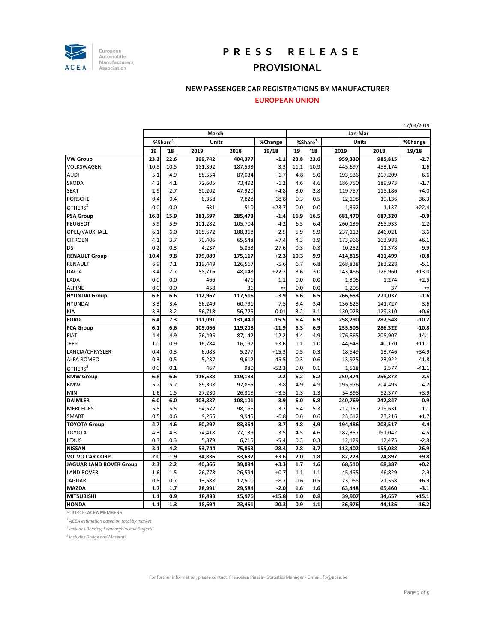

## **P R E S S R E L E A S E**

## **PROVISIONAL**

#### **NEW PASSENGER CAR REGISTRATIONS BY MANUFACTURER**

#### **EUROPEAN UNION**

|                                | March       |      |         |         |          | 17/04/2019<br>Jan-Mar |      |              |         |          |  |
|--------------------------------|-------------|------|---------|---------|----------|-----------------------|------|--------------|---------|----------|--|
|                                | %Share $^1$ |      | Units   |         | %Change  | %Share <sup>1</sup>   |      | <b>Units</b> |         | %Change  |  |
|                                | '19         | '18  | 2019    | 2018    | 19/18    | '19                   | '18  | 2019         | 2018    | 19/18    |  |
| <b>VW Group</b>                | 23.2        | 22.6 | 399,742 | 404,377 | $-1.1$   | 23.8                  | 23.6 | 959,330      | 985,815 | $-2.7$   |  |
| VOLKSWAGEN                     | 10.5        | 10.5 | 181,392 | 187,593 | $-3.3$   | 11.1                  | 10.9 | 445,697      | 453,174 | $-1.6$   |  |
| AUDI                           | 5.1         | 4.9  | 88,554  | 87,034  | $+1.7$   | 4.8                   | 5.0  | 193,536      | 207,209 | $-6.6$   |  |
| SKODA                          | 4.2         | 4.1  | 72,605  | 73,492  | $-1.2$   | 4.6                   | 4.6  | 186,750      | 189,973 | $-1.7$   |  |
| <b>SEAT</b>                    | 2.9         | 2.7  | 50,202  | 47,920  | $+4.8$   | 3.0                   | 2.8  | 119,757      | 115,186 | $+4.0$   |  |
| <b>PORSCHE</b>                 | 0.4         | 0.4  | 6,358   | 7,828   | $-18.8$  | 0.3                   | 0.5  | 12,198       | 19,136  | $-36.3$  |  |
| OTHERS $^2$                    | 0.0         | 0.0  | 631     | 510     | $+23.7$  | 0.0                   | 0.0  | 1,392        | 1,137   | $+22.4$  |  |
| <b>PSA Group</b>               | 16.3        | 15.9 | 281,597 | 285,473 | $-1.4$   | 16.9                  | 16.5 | 681,470      | 687,320 | $-0.9$   |  |
| PEUGEOT                        | 5.9         | 5.9  | 101,282 | 105,704 | $-4.2$   | 6.5                   | 6.4  | 260,139      | 265,933 | $-2.2$   |  |
| OPEL/VAUXHALL                  | 6.1         | 6.0  | 105,672 | 108,368 | $-2.5$   | 5.9                   | 5.9  | 237,113      | 246,021 | $-3.6$   |  |
| <b>CITROEN</b>                 | 4.1         | 3.7  | 70,406  | 65,548  | $+7.4$   | 4.3                   | 3.9  | 173,966      | 163,988 | $+6.1$   |  |
| DS                             | 0.2         | 0.3  | 4,237   | 5,853   | $-27.6$  | 0.3                   | 0.3  | 10,252       | 11,378  | $-9.9$   |  |
| <b>RENAULT Group</b>           | 10.4        | 9.8  | 179,089 | 175,117 | $+2.3$   | 10.3                  | 9.9  | 414,815      | 411,499 | $+0.8$   |  |
| RENAULT                        | 6.9         | 7.1  | 119,449 | 126,567 | $-5.6$   | 6.7                   | 6.8  | 268,838      | 283,228 | $-5.1$   |  |
| <b>DACIA</b>                   | 3.4         | 2.7  | 58,716  | 48,043  | $+22.2$  | 3.6                   | 3.0  | 143,466      | 126,960 | $+13.0$  |  |
| LADA                           | 0.0         | 0.0  | 466     | 471     | $-1.1$   | 0.0                   | 0.0  | 1,306        | 1,274   | $+2.5$   |  |
| <b>ALPINE</b>                  | 0.0         | 0.0  | 458     | 36      | $\infty$ | 0.0                   | 0.0  | 1,205        | 37      | $\infty$ |  |
| <b>HYUNDAI Group</b>           | 6.6         | 6.6  | 112,967 | 117,516 | $-3.9$   | 6.6                   | 6.5  | 266,653      | 271,037 | $-1.6$   |  |
| HYUNDAI                        | 3.3         | 3.4  | 56,249  | 60,791  | $-7.5$   | 3.4                   | 3.4  | 136,625      | 141,727 | $-3.6$   |  |
| КIА                            | 3.3         | 3.2  | 56,718  | 56,725  | $-0.01$  | 3.2                   | 3.1  | 130,028      | 129,310 | $+0.6$   |  |
| FORD                           | 6.4         | 7.3  | 111,091 | 131,440 | $-15.5$  | 6.4                   | 6.9  | 258,290      | 287,548 | $-10.2$  |  |
| <b>FCA Group</b>               | 6.1         | 6.6  | 105,066 | 119,208 | $-11.9$  | 6.3                   | 6.9  | 255,505      | 286,322 | $-10.8$  |  |
| FIAT                           | 4.4         | 4.9  | 76,495  | 87,142  | $-12.2$  | 4.4                   | 4.9  | 176,865      | 205,907 | $-14.1$  |  |
| JEEP                           | 1.0         | 0.9  | 16,784  | 16,197  | $+3.6$   | 1.1                   | 1.0  | 44,648       | 40,170  | $+11.1$  |  |
| LANCIA/CHRYSLER                | 0.4         | 0.3  | 6,083   | 5,277   | $+15.3$  | 0.5                   | 0.3  | 18,549       | 13,746  | $+34.9$  |  |
| <b>ALFA ROMEO</b>              | 0.3         | 0.5  | 5,237   | 9,612   | $-45.5$  | 0.3                   | 0.6  | 13,925       | 23,922  | $-41.8$  |  |
| OTHERS <sup>3</sup>            | 0.0         | 0.1  | 467     | 980     | $-52.3$  | 0.0                   | 0.1  | 1,518        | 2,577   | $-41.1$  |  |
| <b>BMW Group</b>               | 6.8         | 6.6  | 116,538 | 119,183 | $-2.2$   | 6.2                   | 6.2  | 250,374      | 256,872 | $-2.5$   |  |
| <b>BMW</b>                     | 5.2         | 5.2  | 89,308  | 92,865  | $-3.8$   | 4.9                   | 4.9  | 195,976      | 204,495 | $-4.2$   |  |
| MINI                           | 1.6         | 1.5  | 27,230  | 26,318  | $+3.5$   | 1.3                   | 1.3  | 54,398       | 52,377  | $+3.9$   |  |
| DAIMLER                        | 6.0         | 6.0  | 103,837 | 108,101 | $-3.9$   | 6.0                   | 5.8  | 240,769      | 242,847 | $-0.9$   |  |
| MERCEDES                       | 5.5         | 5.5  | 94,572  | 98,156  | $-3.7$   | 5.4                   | 5.3  | 217,157      | 219,631 | $-1.1$   |  |
| SMART                          | 0.5         | 0.6  | 9,265   | 9,945   | $-6.8$   | 0.6                   | 0.6  | 23,612       | 23,216  | $+1.7$   |  |
| <b>TOYOTA Group</b>            | 4.7         | 4.6  | 80,297  | 83,354  | $-3.7$   | 4.8                   | 4.9  | 194,486      | 203,517 | $-4.4$   |  |
| TOYOTA                         | 4.3         | 4.3  | 74,418  | 77,139  | $-3.5$   | 4.5                   | 4.6  | 182,357      | 191,042 | $-4.5$   |  |
| LEXUS                          | 0.3         | 0.3  | 5,879   | 6,215   | $-5.4$   | 0.3                   | 0.3  | 12,129       | 12,475  | $-2.8$   |  |
| NISSAN                         | 3.1         | 4.2  | 53,744  | 75,053  | $-28.4$  | 2.8                   | 3.7  | 113,402      | 155,038 | $-26.9$  |  |
| VOLVO CAR CORP.                | 2.0         | 1.9  | 34,836  | 33,632  | $+3.6$   | 2.0                   | 1.8  | 82,223       | 74,897  | $+9.8$   |  |
| <b>JAGUAR LAND ROVER Group</b> | 2.3         | 2.2  | 40,366  | 39,094  | $+3.3$   | 1.7                   | 1.6  | 68,510       | 68,387  | $+0.2$   |  |
| <b>LAND ROVER</b>              | 1.6         | 1.5  | 26,778  | 26,594  | $+0.7$   | 1.1                   | 1.1  | 45,455       | 46,829  | $-2.9$   |  |
| JAGUAR                         | 0.8         | 0.7  | 13,588  | 12,500  | $+8.7$   | 0.6                   | 0.5  | 23,055       | 21,558  | $+6.9$   |  |
| MAZDA                          | 1.7         | 1.7  | 28,991  | 29,584  | $-2.0$   | 1.6                   | 1.6  | 63,448       | 65,460  | $-3.1$   |  |
| MITSUBISHI                     | 1.1         | 0.9  | 18,493  | 15,976  | $+15.8$  | 1.0                   | 0.8  | 39,907       | 34,657  | $+15.1$  |  |
| <b>HONDA</b>                   | 1.1         | 1.3  | 18,694  | 23,451  | $-20.3$  | 0.9                   | 1.1  | 36,976       | 44,136  | $-16.2$  |  |

SOURCE: **ACEA MEMBERS**

*1 ACEA estimation based on total by market*

*<sup>2</sup> Includes Bentley, Lamborghini and Bugatti*

*3 Includes Dodge and Maserati*

17/04/2019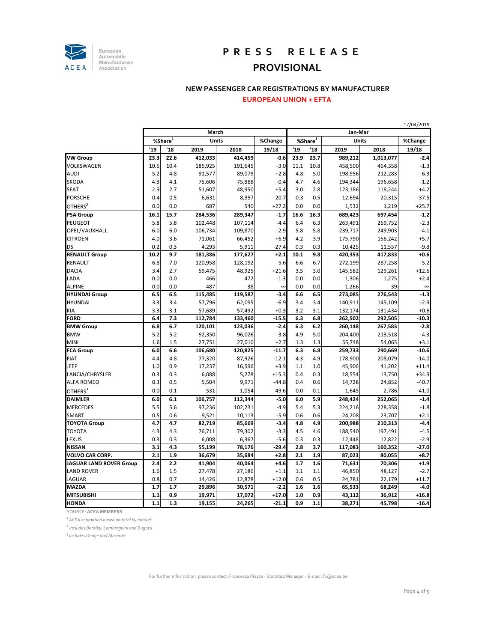

# **P R E S S R E L E A S E**

## **PROVISIONAL**

#### **NEW PASSENGER CAR REGISTRATIONS BY MANUFACTURER**

#### **EUROPEAN UNION + EFTA**

|                                |             |      |              |         |          |             | 17/04/2019 |              |           |          |  |  |
|--------------------------------|-------------|------|--------------|---------|----------|-------------|------------|--------------|-----------|----------|--|--|
|                                | March       |      |              |         | Jan-Mar  |             |            |              |           |          |  |  |
|                                | %Share $^1$ |      | <b>Units</b> |         | %Change  | %Share $^1$ |            | <b>Units</b> |           | %Change  |  |  |
|                                | '19         | '18  | 2019         | 2018    | 19/18    | '19         | '18        | 2019         | 2018      | 19/18    |  |  |
| <b>VW Group</b>                | 23.3        | 22.6 | 412.033      | 414.459 | $-0.6$   | 23.9        | 23.7       | 989,212      | 1,013,077 | $-2.4$   |  |  |
| VOLKSWAGEN                     | 10.5        | 10.4 | 185,925      | 191,645 | $-3.0$   | 11.1        | 10.8       | 458,500      | 464,358   | $-1.3$   |  |  |
| AUDI                           | 5.2         | 4.8  | 91,577       | 89,079  | $+2.8$   | 4.8         | 5.0        | 198,956      | 212,283   | $-6.3$   |  |  |
| SKODA                          | 4.3         | 4.1  | 75,606       | 75,888  | $-0.4$   | 4.7         | 4.6        | 194,344      | 196,658   | $-1.2$   |  |  |
| SEAT                           | 2.9         | 2.7  | 51,607       | 48,950  | $+5.4$   | 3.0         | 2.8        | 123,186      | 118,244   | $+4.2$   |  |  |
| PORSCHE                        | 0.4         | 0.5  | 6,631        | 8,357   | $-20.7$  | 0.3         | 0.5        | 12,694       | 20,315    | $-37.5$  |  |  |
| OTHERS <sup>2</sup>            | 0.0         | 0.0  | 687          | 540     | $+27.2$  | 0.0         | 0.0        | 1,532        | 1,219     | $+25.7$  |  |  |
| <b>PSA Group</b>               | 16.1        | 15.7 | 284,536      | 289,347 | $-1.7$   | 16.6        | 16.3       | 689,423      | 697,454   | $-1.2$   |  |  |
| PEUGEOT                        | 5.8         | 5.8  | 102,448      | 107,114 | $-4.4$   | 6.4         | 6.3        | 263,491      | 269,752   | $-2.3$   |  |  |
| OPEL/VAUXHALL                  | 6.0         | 6.0  | 106,734      | 109,870 | $-2.9$   | 5.8         | 5.8        | 239,717      | 249,903   | $-4.1$   |  |  |
| CITROEN                        | 4.0         | 3.6  | 71,061       | 66,452  | $+6.9$   | 4.2         | 3.9        | 175,790      | 166,242   | $+5.7$   |  |  |
| DS                             | 0.2         | 0.3  | 4,293        | 5,911   | $-27.4$  | 0.3         | 0.3        | 10,425       | 11,557    | $-9.8$   |  |  |
| <b>RENAULT Group</b>           | 10.2        | 9.7  | 181,386      | 177,627 | $+2.1$   | 10.1        | 9.8        | 420,353      | 417,833   | $+0.6$   |  |  |
| RENAULT                        | 6.8         | 7.0  | 120,958      | 128,192 | $-5.6$   | 6.6         | 6.7        | 272,199      | 287,258   | $-5.2$   |  |  |
| DACIA                          | 3.4         | 2.7  | 59,475       | 48,925  | $+21.6$  | 3.5         | 3.0        | 145,582      | 129,261   | $+12.6$  |  |  |
| LADA                           | 0.0         | 0.0  | 466          | 472     | $-1.3$   | 0.0         | 0.0        | 1,306        | 1,275     | $+2.4$   |  |  |
| <b>ALPINE</b>                  | 0.0         | 0.0  | 487          | 38      | $\infty$ | 0.0         | 0.0        | 1,266        | 39        | $\infty$ |  |  |
| <b>HYUNDAI Group</b>           | 6.5         | 6.5  | 115,485      | 119,587 | $-3.4$   | 6.6         | 6.5        | 273,085      | 276,543   | $-1.3$   |  |  |
| <b>HYUNDAI</b>                 | 3.3         | 3.4  | 57,796       | 62,095  | $-6.9$   | 3.4         | 3.4        | 140,911      | 145,109   | $-2.9$   |  |  |
| КIА                            | 3.3         | 3.1  | 57,689       | 57,492  | $+0.3$   | 3.2         | 3.1        | 132,174      | 131,434   | $+0.6$   |  |  |
| FORD                           | 6.4         | 7.3  | 112,784      | 133,460 | $-15.5$  | 6.3         | 6.8        | 262,502      | 292,505   | $-10.3$  |  |  |
| <b>BMW Group</b>               | 6.8         | 6.7  | 120,101      | 123,036 | $-2.4$   | 6.3         | 6.2        | 260,148      | 267,583   | $-2.8$   |  |  |
| <b>BMW</b>                     | 5.2         | 5.2  | 92,350       | 96,026  | $-3.8$   | 4.9         | 5.0        | 204,400      | 213,518   | $-4.3$   |  |  |
| MINI                           | 1.6         | 1.5  | 27,751       | 27,010  | $+2.7$   | 1.3         | 1.3        | 55,748       | 54,065    | $+3.1$   |  |  |
| <b>FCA Group</b>               | 6.0         | 6.6  | 106,680      | 120,825 | $-11.7$  | 6.3         | 6.8        | 259,733      | 290,669   | $-10.6$  |  |  |
| FIAT                           | 4.4         | 4.8  | 77,320       | 87,926  | $-12.1$  | 4.3         | 4.9        | 178,900      | 208,079   | $-14.0$  |  |  |
| JEEP                           | 1.0         | 0.9  | 17,237       | 16,596  | $+3.9$   | 1.1         | 1.0        | 45,906       | 41,202    | $+11.4$  |  |  |
| LANCIA/CHRYSLER                | 0.3         | 0.3  | 6,088        | 5,278   | $+15.3$  | 0.4         | 0.3        | 18,554       | 13,750    | $+34.9$  |  |  |
| <b>ALFA ROMEO</b>              | 0.3         | 0.5  | 5,504        | 9,971   | $-44.8$  | 0.4         | 0.6        | 14,728       | 24,852    | $-40.7$  |  |  |
| OTHERS $^3$                    | 0.0         | 0.1  | 531          | 1,054   | $-49.6$  | 0.0         | 0.1        | 1,645        | 2,786     | $-41.0$  |  |  |
| DAIMLER                        | 6.0         | 6.1  | 106,757      | 112,344 | $-5.0$   | 6.0         | 5.9        | 248,424      | 252,065   | $-1.4$   |  |  |
| MERCEDES                       | 5.5         | 5.6  | 97,236       | 102,231 | $-4.9$   | 5.4         | 5.3        | 224,216      | 228,358   | $-1.8$   |  |  |
| SMART                          | 0.5         | 0.6  | 9,521        | 10,113  | $-5.9$   | 0.6         | 0.6        | 24,208       | 23,707    | $+2.1$   |  |  |
| <b>TOYOTA Group</b>            | 4.7         | 4.7  | 82,719       | 85,669  | $-3.4$   | 4.8         | 4.9        | 200,988      | 210,313   | $-4.4$   |  |  |
| TOYOTA                         | 4.3         | 4.3  | 76,711       | 79,302  | $-3.3$   | 4.5         | 4.6        | 188,540      | 197,491   | $-4.5$   |  |  |
| LEXUS                          | 0.3         | 0.3  | 6,008        | 6,367   | $-5.6$   | 0.3         | 0.3        | 12,448       | 12,822    | $-2.9$   |  |  |
| NISSAN                         | 3.1         | 4.3  | 55,199       | 78,176  | $-29.4$  | 2.8         | 3.7        | 117,083      | 160,352   | $-27.0$  |  |  |
| VOLVO CAR CORP.                | 2.1         | 1.9  | 36,679       | 35,684  | $+2.8$   | 2.1         | 1.9        | 87,023       | 80,055    | $+8.7$   |  |  |
| <b>JAGUAR LAND ROVER Group</b> | 2.4         | 2.2  | 41,904       | 40,064  | $+4.6$   | 1.7         | 1.6        | 71,631       | 70,306    | $+1.9$   |  |  |
| <b>LAND ROVER</b>              | 1.6         | 1.5  | 27,478       | 27,186  | $+1.1$   | 1.1         | 1.1        | 46,850       | 48,127    | $-2.7$   |  |  |
| JAGUAR                         | 0.8         | 0.7  | 14,426       | 12,878  | $+12.0$  | 0.6         | 0.5        | 24,781       | 22,179    | $+11.7$  |  |  |
| MAZDA                          | 1.7         | 1.7  | 29,896       | 30,571  | $-2.2$   | 1.6         | 1.6        | 65,533       | 68,249    | $-4.0$   |  |  |
| MITSUBISHI                     | 1.1         | 0.9  | 19,971       | 17,072  | $+17.0$  | 1.0         | 0.9        | 43,112       | 36,912    | $+16.8$  |  |  |
| <b>HONDA</b>                   | $1.1$       | 1.3  | 19,155       | 24,265  | $-21.1$  | 0.9         | 1.1        | 38,271       | 45,798    | $-16.4$  |  |  |

SOURCE: **ACEA MEMBERS**

*1 ACEA estimation based on total by market*

*<sup>2</sup> Includes Bentley, Lamborghini and Bugatti*

*3 Includes Dodge and Maserati*